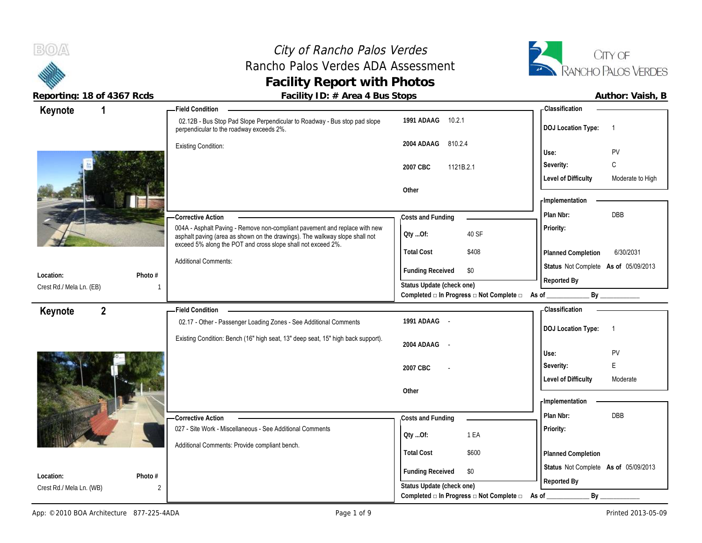# City of Rancho Palos Verdes Rancho Palos Verdes ADA Assessment **Facility Report with Photos**



**Reporting: 18 of 4367 Rcds Facility ID: # Area 4 Bus Stops Author: Vaish, B**

| Keynote                  | - Field Condition                                                                                                                                                                                                         |                                                             | <b>Classification</b>                                |
|--------------------------|---------------------------------------------------------------------------------------------------------------------------------------------------------------------------------------------------------------------------|-------------------------------------------------------------|------------------------------------------------------|
|                          | 02.12B - Bus Stop Pad Slope Perpendicular to Roadway - Bus stop pad slope<br>perpendicular to the roadway exceeds 2%.                                                                                                     | 10.2.1<br>1991 ADAAG                                        | <b>DOJ Location Type:</b>                            |
|                          | <b>Existing Condition:</b>                                                                                                                                                                                                | 810.2.4<br>2004 ADAAG                                       |                                                      |
|                          |                                                                                                                                                                                                                           |                                                             | Use:<br><b>PV</b>                                    |
|                          |                                                                                                                                                                                                                           | 1121B.2.1<br>2007 CBC                                       | Severity:<br>C                                       |
|                          |                                                                                                                                                                                                                           |                                                             | <b>Level of Difficulty</b><br>Moderate to High       |
|                          |                                                                                                                                                                                                                           | Other                                                       | - Implementation                                     |
|                          |                                                                                                                                                                                                                           |                                                             | Plan Nbr:<br>DBB                                     |
|                          | -Corrective Action                                                                                                                                                                                                        | Costs and Funding                                           |                                                      |
|                          | 004A - Asphalt Paving - Remove non-compliant pavement and replace with new<br>asphalt paving (area as shown on the drawings). The walkway slope shall not<br>exceed 5% along the POT and cross slope shall not exceed 2%. | 40 SF<br>Oty Of:                                            | Priority:                                            |
|                          |                                                                                                                                                                                                                           | <b>Total Cost</b><br>\$408                                  | 6/30/2031<br><b>Planned Completion</b>               |
| Photo #<br>Location:     | <b>Additional Comments:</b>                                                                                                                                                                                               | <b>Funding Received</b><br>\$0                              | Status Not Complete As of 05/09/2013                 |
| Crest Rd./ Mela Ln. (EB) |                                                                                                                                                                                                                           | Status Update (check one)                                   | Reported By                                          |
|                          |                                                                                                                                                                                                                           | Completed □ In Progress □ Not Complete □ As of              | By                                                   |
| $\mathbf{2}$<br>Keynote  | <b>Field Condition</b>                                                                                                                                                                                                    |                                                             | - Classification                                     |
|                          | 02.17 - Other - Passenger Loading Zones - See Additional Comments                                                                                                                                                         | 1991 ADAAG -                                                | <b>DOJ Location Type:</b><br>$\overline{\mathbf{1}}$ |
|                          | Existing Condition: Bench (16" high seat, 13" deep seat, 15" high back support).                                                                                                                                          |                                                             |                                                      |
|                          |                                                                                                                                                                                                                           | 2004 ADAAG<br>$\sim$                                        | PV<br>Use:                                           |
|                          |                                                                                                                                                                                                                           | 2007 CBC                                                    | E<br>Severity:                                       |
|                          |                                                                                                                                                                                                                           |                                                             | <b>Level of Difficulty</b><br>Moderate               |
|                          |                                                                                                                                                                                                                           | Other                                                       |                                                      |
|                          |                                                                                                                                                                                                                           |                                                             | - Implementation                                     |
|                          | <b>Corrective Action</b>                                                                                                                                                                                                  | Costs and Funding                                           | Plan Nbr:<br><b>DBB</b>                              |
|                          | 027 - Site Work - Miscellaneous - See Additional Comments                                                                                                                                                                 |                                                             | Priority:                                            |
|                          |                                                                                                                                                                                                                           | 1 EA<br>QtyOf:                                              |                                                      |
|                          | Additional Comments: Provide compliant bench.                                                                                                                                                                             | <b>Total Cost</b><br>\$600                                  | Planned Completion                                   |
|                          |                                                                                                                                                                                                                           |                                                             |                                                      |
|                          |                                                                                                                                                                                                                           |                                                             |                                                      |
| Location:                | Photo #                                                                                                                                                                                                                   | <b>Funding Received</b><br>\$0<br>Status Update (check one) | Status Not Complete As of 05/09/2013<br>Reported By  |

Completed **□ In Progress □ Not Complete □** As of \_\_\_\_\_\_\_\_\_\_\_\_\_\_\_\_\_\_\_\_\_\_\_\_\_\_\_\_\_\_\_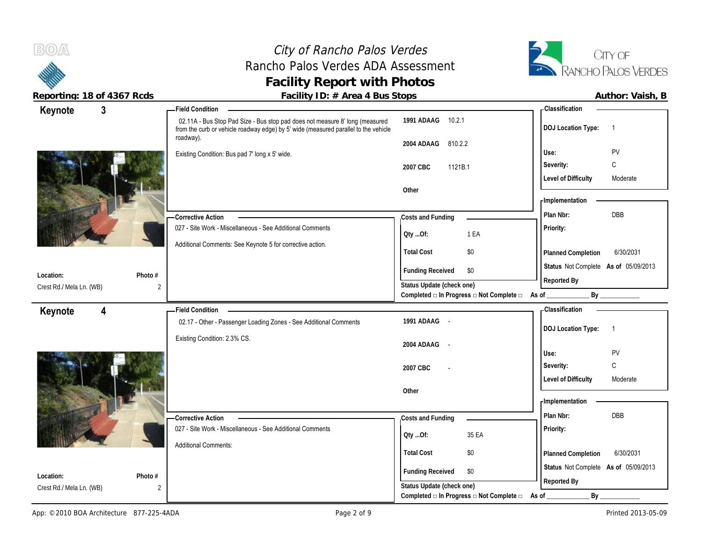# City of Rancho Palos Verdes Rancho Palos Verdes ADA Assessment **Facility Report with Photos**<br>Facility ID: # Area 4 Bus Stops



|                          | Reporting: 18 of 4367 Rcds | Facility ID: # Area 4 Bus Stops                                                                                                                                                  |                           |                                                         |                                      | Author: Vaish, B |
|--------------------------|----------------------------|----------------------------------------------------------------------------------------------------------------------------------------------------------------------------------|---------------------------|---------------------------------------------------------|--------------------------------------|------------------|
| Keynote                  | $\mathbf{3}$               | Field Condition -                                                                                                                                                                |                           |                                                         | -Classification                      |                  |
|                          |                            | 02.11A - Bus Stop Pad Size - Bus stop pad does not measure 8' long (measured<br>from the curb or vehicle roadway edge) by 5' wide (measured parallel to the vehicle<br>roadway). | 1991 ADAAG 10.2.1         |                                                         | <b>DOJ Location Type:</b>            | $\overline{1}$   |
|                          |                            |                                                                                                                                                                                  | 2004 ADAAG 810.2.2        |                                                         | Use:                                 | PV               |
|                          |                            | Existing Condition: Bus pad 7' long x 5' wide.                                                                                                                                   |                           |                                                         | Severity:                            | C                |
|                          |                            |                                                                                                                                                                                  | 2007 CBC<br>1121B.1       |                                                         |                                      |                  |
|                          |                            |                                                                                                                                                                                  | Other                     |                                                         | <b>Level of Difficulty</b>           | Moderate         |
|                          |                            |                                                                                                                                                                                  |                           |                                                         | - Implementation                     |                  |
|                          |                            |                                                                                                                                                                                  |                           |                                                         | Plan Nbr:                            | DBB              |
|                          |                            | - Corrective Action<br>027 - Site Work - Miscellaneous - See Additional Comments                                                                                                 | Costs and Funding         |                                                         | Priority:                            |                  |
|                          |                            |                                                                                                                                                                                  | QtyOf:                    | 1 EA                                                    |                                      |                  |
|                          |                            | Additional Comments: See Keynote 5 for corrective action.                                                                                                                        | <b>Total Cost</b>         | \$0                                                     | Planned Completion                   | 6/30/2031        |
|                          |                            |                                                                                                                                                                                  |                           |                                                         | Status Not Complete As of 05/09/2013 |                  |
| Location:                | Photo #                    |                                                                                                                                                                                  | <b>Funding Received</b>   | \$0                                                     |                                      |                  |
| Crest Rd./ Mela Ln. (WB) | 2                          |                                                                                                                                                                                  | Status Update (check one) |                                                         | Reported By                          |                  |
|                          |                            |                                                                                                                                                                                  |                           | Completed □ In Progress □ Not Complete □ As of ________ |                                      | By _____________ |
| Keynote                  | 4                          | <b>Field Condition</b>                                                                                                                                                           |                           |                                                         | <b>Classification</b>                |                  |
|                          |                            | 02.17 - Other - Passenger Loading Zones - See Additional Comments                                                                                                                | 1991 ADAAG -              |                                                         | <b>DOJ Location Type:</b>            | $\overline{1}$   |
|                          |                            | Existing Condition: 2.3% CS.                                                                                                                                                     |                           |                                                         |                                      |                  |
|                          |                            |                                                                                                                                                                                  | 2004 ADAAG -              |                                                         | Use:                                 | PV               |
|                          |                            |                                                                                                                                                                                  |                           |                                                         | Severity:                            | $\mathsf C$      |
|                          |                            |                                                                                                                                                                                  | 2007 CBC                  |                                                         | <b>Level of Difficulty</b>           | Moderate         |
|                          |                            |                                                                                                                                                                                  | Other                     |                                                         |                                      |                  |
|                          |                            |                                                                                                                                                                                  |                           |                                                         | - Implementation                     |                  |
|                          |                            | - Corrective Action                                                                                                                                                              | Costs and Funding         |                                                         | Plan Nbr:                            | <b>DBB</b>       |
|                          |                            | 027 - Site Work - Miscellaneous - See Additional Comments                                                                                                                        |                           |                                                         | Priority:                            |                  |
|                          |                            |                                                                                                                                                                                  | QtyOf:                    | 35 EA                                                   |                                      |                  |
|                          |                            | <b>Additional Comments:</b>                                                                                                                                                      | <b>Total Cost</b>         | \$0                                                     | Planned Completion                   | 6/30/2031        |
|                          |                            |                                                                                                                                                                                  |                           |                                                         | Status Not Complete As of 05/09/2013 |                  |
| Location:                | Photo #                    |                                                                                                                                                                                  | <b>Funding Received</b>   | \$0                                                     | Reported By                          |                  |
| Crest Rd./ Mela Ln. (WB) | 2                          |                                                                                                                                                                                  | Status Update (check one) |                                                         |                                      |                  |
|                          |                            |                                                                                                                                                                                  |                           | Completed $\Box$ In Progress $\Box$ Not Complete $\Box$ | By<br>As of                          |                  |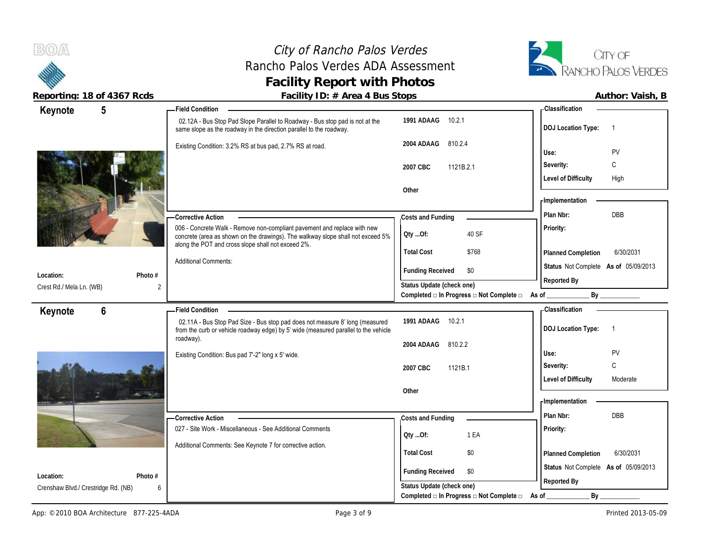# City of Rancho Palos Verdes Rancho Palos Verdes ADA Assessment **Facility Report with Photos**



| reporting. To be 4507 hours         |         | I dullty TD. $\pi$ Alled 4 Dus Jtops                                                                                                                                                                              |                                                                                              |       |                                      | AULIIUI. VAISII, D |
|-------------------------------------|---------|-------------------------------------------------------------------------------------------------------------------------------------------------------------------------------------------------------------------|----------------------------------------------------------------------------------------------|-------|--------------------------------------|--------------------|
| $5\phantom{.0}$<br>Keynote          |         | <b>Field Condition</b>                                                                                                                                                                                            |                                                                                              |       | - Classification                     |                    |
|                                     |         | 02.12A - Bus Stop Pad Slope Parallel to Roadway - Bus stop pad is not at the<br>same slope as the roadway in the direction parallel to the roadway.                                                               | 1991 ADAAG<br>10.2.1                                                                         |       | <b>DOJ</b> Location Type:            | $\overline{1}$     |
|                                     |         | Existing Condition: 3.2% RS at bus pad, 2.7% RS at road.                                                                                                                                                          | 2004 ADAAG<br>810.2.4                                                                        |       |                                      |                    |
|                                     |         |                                                                                                                                                                                                                   |                                                                                              |       | Use:                                 | PV                 |
|                                     |         |                                                                                                                                                                                                                   | 2007 CBC<br>1121B.2.1                                                                        |       | Severity:                            | C                  |
|                                     |         |                                                                                                                                                                                                                   |                                                                                              |       | <b>Level of Difficulty</b>           | High               |
|                                     |         |                                                                                                                                                                                                                   | Other                                                                                        |       |                                      |                    |
|                                     |         |                                                                                                                                                                                                                   |                                                                                              |       | - Implementation                     |                    |
|                                     |         | -Corrective Action                                                                                                                                                                                                | Costs and Funding                                                                            |       | Plan Nbr:                            | <b>DBB</b>         |
|                                     |         | 006 - Concrete Walk - Remove non-compliant pavement and replace with new<br>concrete (area as shown on the drawings). The walkway slope shall not exceed 5%<br>along the POT and cross slope shall not exceed 2%. | QtyOf:                                                                                       | 40 SF | Priority:                            |                    |
|                                     |         |                                                                                                                                                                                                                   | <b>Total Cost</b>                                                                            | \$768 | Planned Completion                   | 6/30/2031          |
|                                     |         | <b>Additional Comments:</b>                                                                                                                                                                                       | <b>Funding Received</b>                                                                      | \$0   | Status Not Complete As of 05/09/2013 |                    |
| Location:                           | Photo # |                                                                                                                                                                                                                   |                                                                                              |       | Reported By                          |                    |
| Crest Rd./ Mela Ln. (WB)            |         |                                                                                                                                                                                                                   | Status Update (check one)<br>Completed $\Box$ In Progress $\Box$ Not Complete $\Box$ As of _ |       |                                      | By                 |
| $6\phantom{1}$                      |         | <b>Field Condition</b>                                                                                                                                                                                            |                                                                                              |       | - Classification                     |                    |
| Keynote                             |         | 02.11A - Bus Stop Pad Size - Bus stop pad does not measure 8' long (measured<br>from the curb or vehicle roadway edge) by 5' wide (measured parallel to the vehicle                                               | 1991 ADAAG 10.2.1                                                                            |       | <b>DOJ Location Type:</b>            | $\overline{1}$     |
|                                     |         | roadway).                                                                                                                                                                                                         | 2004 ADAAG<br>810.2.2                                                                        |       |                                      |                    |
|                                     |         | Existing Condition: Bus pad 7'-2" long x 5' wide.                                                                                                                                                                 |                                                                                              |       | Use:                                 | PV                 |
|                                     |         |                                                                                                                                                                                                                   | 2007 CBC<br>1121B.1                                                                          |       | Severity:                            | $\mathsf{C}$       |
|                                     |         |                                                                                                                                                                                                                   |                                                                                              |       | <b>Level of Difficulty</b>           | Moderate           |
|                                     |         |                                                                                                                                                                                                                   | Other                                                                                        |       |                                      |                    |
|                                     |         |                                                                                                                                                                                                                   |                                                                                              |       | - Implementation                     |                    |
|                                     |         | - Corrective Action                                                                                                                                                                                               | Costs and Funding                                                                            |       | Plan Nbr:                            | DBB                |
|                                     |         | 027 - Site Work - Miscellaneous - See Additional Comments                                                                                                                                                         | Oty Of:                                                                                      | 1 EA  | Priority:                            |                    |
|                                     |         |                                                                                                                                                                                                                   |                                                                                              |       |                                      |                    |
|                                     |         |                                                                                                                                                                                                                   |                                                                                              |       |                                      |                    |
|                                     |         | Additional Comments: See Keynote 7 for corrective action.                                                                                                                                                         | <b>Total Cost</b>                                                                            | \$0   | Planned Completion                   | 6/30/2031          |
| Location:                           | Photo # |                                                                                                                                                                                                                   | <b>Funding Received</b>                                                                      | \$0   | Status Not Complete As of 05/09/2013 |                    |
| Crenshaw Blvd./ Crestridge Rd. (NB) | 6       |                                                                                                                                                                                                                   | Status Update (check one)<br>Completed $\Box$ In Progress $\Box$ Not Complete $\Box$         |       | Reported By<br>By                    |                    |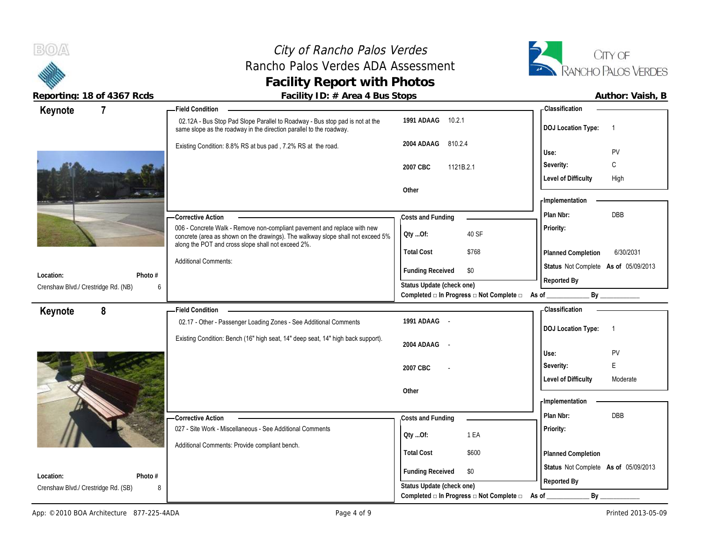# City of Rancho Palos Verdes Rancho Palos Verdes ADA Assessment **Facility Report with Photos**



Reporting: 18 of 4367 Rcds **Facility ID: # Area 4 Bus Stops Facility ID: # Area 4 Bus Stops Author: Vaish, B** 

| $\overline{7}$<br>Keynote                                        | <b>Field Condition</b>                                                                                                                              |                                                | - Classification                                    |
|------------------------------------------------------------------|-----------------------------------------------------------------------------------------------------------------------------------------------------|------------------------------------------------|-----------------------------------------------------|
|                                                                  | 02.12A - Bus Stop Pad Slope Parallel to Roadway - Bus stop pad is not at the<br>same slope as the roadway in the direction parallel to the roadway. | 1991 ADAAG<br>10.2.1                           | <b>DOJ Location Type:</b><br>$\overline{1}$         |
|                                                                  | Existing Condition: 8.8% RS at bus pad, 7.2% RS at the road.                                                                                        | 2004 ADAAG<br>810.2.4                          | PV<br>Use:                                          |
|                                                                  |                                                                                                                                                     |                                                | C<br>Severity:                                      |
|                                                                  |                                                                                                                                                     | 2007 CBC<br>1121B.2.1                          |                                                     |
|                                                                  |                                                                                                                                                     | Other                                          | <b>Level of Difficulty</b><br>High                  |
|                                                                  |                                                                                                                                                     |                                                | - Implementation                                    |
|                                                                  |                                                                                                                                                     |                                                | DBB<br>Plan Nbr:                                    |
|                                                                  | - Corrective Action<br>006 - Concrete Walk - Remove non-compliant pavement and replace with new                                                     | Costs and Funding                              | Priority:                                           |
|                                                                  | concrete (area as shown on the drawings). The walkway slope shall not exceed 5%                                                                     | QtyOf:<br>40 SF                                |                                                     |
|                                                                  | along the POT and cross slope shall not exceed 2%.                                                                                                  | <b>Total Cost</b><br>\$768                     | 6/30/2031<br>Planned Completion                     |
|                                                                  | <b>Additional Comments:</b>                                                                                                                         |                                                | Status Not Complete As of 05/09/2013                |
| Location:<br>Photo $#$                                           |                                                                                                                                                     | <b>Funding Received</b><br>\$0                 | Reported By                                         |
| Crenshaw Blvd./ Crestridge Rd. (NB)<br>6                         |                                                                                                                                                     | Status Update (check one)                      |                                                     |
|                                                                  |                                                                                                                                                     | Completed a In Progress a Not Complete a As of | By                                                  |
| 8<br>Keynote                                                     | <b>Field Condition</b>                                                                                                                              |                                                | - Classification                                    |
|                                                                  | 02.17 - Other - Passenger Loading Zones - See Additional Comments                                                                                   | 1991 ADAAG -                                   | <b>DOJ Location Type:</b><br>$\overline{1}$         |
|                                                                  |                                                                                                                                                     |                                                |                                                     |
|                                                                  | Existing Condition: Bench (16" high seat, 14" deep seat, 14" high back support).                                                                    |                                                |                                                     |
|                                                                  |                                                                                                                                                     | 2004 ADAAG                                     | Use:<br>PV                                          |
|                                                                  |                                                                                                                                                     | 2007 CBC                                       | E<br>Severity:                                      |
|                                                                  |                                                                                                                                                     |                                                | <b>Level of Difficulty</b><br>Moderate              |
|                                                                  |                                                                                                                                                     | Other                                          |                                                     |
|                                                                  |                                                                                                                                                     |                                                | - Implementation                                    |
|                                                                  | <b>Corrective Action</b>                                                                                                                            | Costs and Funding                              | Plan Nbr:<br>DBB                                    |
|                                                                  | 027 - Site Work - Miscellaneous - See Additional Comments                                                                                           |                                                | Priority:                                           |
|                                                                  | Additional Comments: Provide compliant bench.                                                                                                       | 1 EA<br>QtyOf:                                 |                                                     |
|                                                                  |                                                                                                                                                     | <b>Total Cost</b><br>\$600                     | Planned Completion                                  |
|                                                                  |                                                                                                                                                     | <b>Funding Received</b><br>\$0                 |                                                     |
| Location:<br>Photo #<br>Crenshaw Blvd./ Crestridge Rd. (SB)<br>8 |                                                                                                                                                     | Status Update (check one)                      | Status Not Complete As of 05/09/2013<br>Reported By |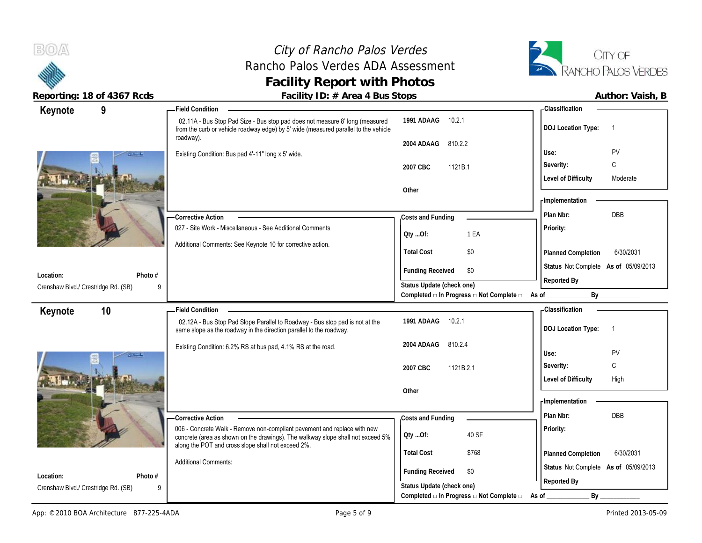# City of Rancho Palos Verdes Rancho Palos Verdes ADA Assessment **Facility Report with Photos**



| 9<br>Keynote                        | <b>Field Condition</b>                                                                                                                                                           |                                                                                      | <b>Classification</b>                       |
|-------------------------------------|----------------------------------------------------------------------------------------------------------------------------------------------------------------------------------|--------------------------------------------------------------------------------------|---------------------------------------------|
|                                     | 02.11A - Bus Stop Pad Size - Bus stop pad does not measure 8' long (measured<br>from the curb or vehicle roadway edge) by 5' wide (measured parallel to the vehicle<br>roadway). | 1991 ADAAG 10.2.1                                                                    | <b>DOJ Location Type:</b><br>$\overline{1}$ |
|                                     |                                                                                                                                                                                  | 2004 ADAAG<br>810.2.2                                                                |                                             |
|                                     | Existing Condition: Bus pad 4'-11" long x 5' wide.                                                                                                                               |                                                                                      | PV<br>Use:                                  |
|                                     |                                                                                                                                                                                  | 1121B.1<br>2007 CBC                                                                  | C<br>Severity:                              |
|                                     |                                                                                                                                                                                  |                                                                                      | <b>Level of Difficulty</b><br>Moderate      |
|                                     |                                                                                                                                                                                  | Other                                                                                |                                             |
|                                     |                                                                                                                                                                                  |                                                                                      | - Implementation                            |
|                                     | Corrective Action                                                                                                                                                                | Costs and Funding                                                                    | <b>DBB</b><br>Plan Nbr:                     |
|                                     | 027 - Site Work - Miscellaneous - See Additional Comments                                                                                                                        | 1 EA<br>QtyOf:                                                                       | Priority:                                   |
|                                     | Additional Comments: See Keynote 10 for corrective action.                                                                                                                       |                                                                                      |                                             |
|                                     |                                                                                                                                                                                  | <b>Total Cost</b><br>\$0                                                             | Planned Completion<br>6/30/2031             |
|                                     |                                                                                                                                                                                  | <b>Funding Received</b><br>\$0                                                       | Status Not Complete As of 05/09/2013        |
| Photo #<br>Location:                |                                                                                                                                                                                  | Status Update (check one)                                                            | Reported By                                 |
| Crenshaw Blvd./ Crestridge Rd. (SB) | 9                                                                                                                                                                                | Completed □ In Progress □ Not Complete □                                             | By<br>As of                                 |
| 10<br>Keynote                       | <b>Field Condition</b>                                                                                                                                                           |                                                                                      | <b>Classification</b>                       |
|                                     |                                                                                                                                                                                  |                                                                                      |                                             |
|                                     |                                                                                                                                                                                  |                                                                                      |                                             |
|                                     | 02.12A - Bus Stop Pad Slope Parallel to Roadway - Bus stop pad is not at the<br>same slope as the roadway in the direction parallel to the roadway.                              | 10.2.1<br>1991 ADAAG                                                                 | <b>DOJ Location Type:</b><br>$\overline{1}$ |
|                                     |                                                                                                                                                                                  | 2004 ADAAG<br>810.2.4                                                                |                                             |
|                                     | Existing Condition: 6.2% RS at bus pad, 4.1% RS at the road.                                                                                                                     |                                                                                      | PV<br>Use:                                  |
|                                     |                                                                                                                                                                                  | 2007 CBC<br>1121B.2.1                                                                | C<br>Severity:                              |
|                                     |                                                                                                                                                                                  |                                                                                      | <b>Level of Difficulty</b><br>High          |
|                                     |                                                                                                                                                                                  | Other                                                                                |                                             |
|                                     |                                                                                                                                                                                  |                                                                                      | - Implementation                            |
|                                     | <b>Corrective Action</b>                                                                                                                                                         | Costs and Funding                                                                    | DBB<br>Plan Nbr:                            |
|                                     | 006 - Concrete Walk - Remove non-compliant pavement and replace with new                                                                                                         |                                                                                      | Priority:                                   |
|                                     | concrete (area as shown on the drawings). The walkway slope shall not exceed 5%                                                                                                  | 40 SF<br>QtyOf:                                                                      |                                             |
|                                     | along the POT and cross slope shall not exceed 2%.                                                                                                                               | <b>Total Cost</b><br>\$768                                                           | 6/30/2031<br>Planned Completion             |
|                                     | <b>Additional Comments:</b>                                                                                                                                                      |                                                                                      | Status Not Complete As of 05/09/2013        |
| Location:<br>Photo #                |                                                                                                                                                                                  | <b>Funding Received</b><br>\$0                                                       |                                             |
| Crenshaw Blvd./ Crestridge Rd. (SB) |                                                                                                                                                                                  | Status Update (check one)<br>Completed $\Box$ In Progress $\Box$ Not Complete $\Box$ | Reported By<br>$By_$<br>As of               |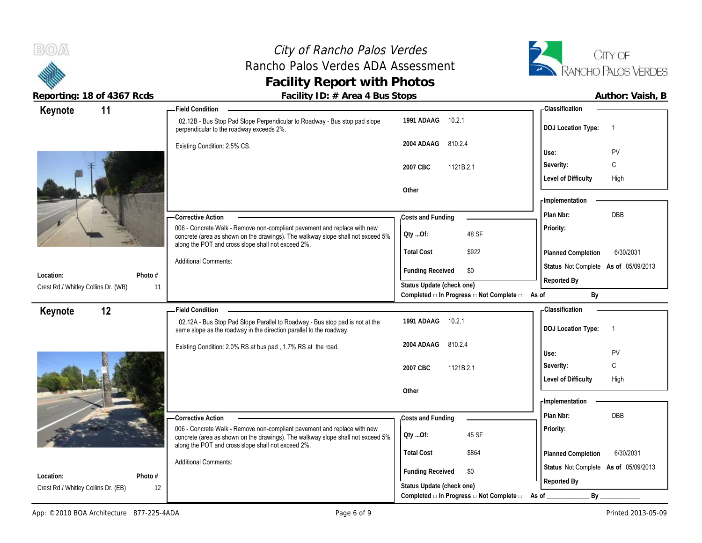# City of Rancho Palos Verdes Rancho Palos Verdes ADA Assessment **Facility Report with Photos**



| Keynote                                          | 11            | - Field Condition                                                                                                                                   |                                                             | - Classification                            |
|--------------------------------------------------|---------------|-----------------------------------------------------------------------------------------------------------------------------------------------------|-------------------------------------------------------------|---------------------------------------------|
|                                                  |               | 02.12B - Bus Stop Pad Slope Perpendicular to Roadway - Bus stop pad slope<br>perpendicular to the roadway exceeds 2%.                               | 10.2.1<br>1991 ADAAG                                        | <b>DOJ Location Type:</b><br>$\overline{1}$ |
|                                                  |               | Existing Condition: 2.5% CS.                                                                                                                        | 2004 ADAAG 810.2.4                                          | PV<br>Use:                                  |
|                                                  |               |                                                                                                                                                     |                                                             | C<br>Severity:                              |
|                                                  |               |                                                                                                                                                     | 2007 CBC<br>1121B.2.1                                       | <b>Level of Difficulty</b><br>High          |
|                                                  |               |                                                                                                                                                     | Other                                                       |                                             |
|                                                  |               |                                                                                                                                                     |                                                             | - Implementation                            |
|                                                  |               | - Corrective Action                                                                                                                                 | Costs and Funding                                           | Plan Nbr:<br><b>DBB</b>                     |
|                                                  |               | 006 - Concrete Walk - Remove non-compliant pavement and replace with new                                                                            |                                                             | Priority:                                   |
|                                                  |               | concrete (area as shown on the drawings). The walkway slope shall not exceed 5%<br>along the POT and cross slope shall not exceed 2%.               | 48 SF<br>QtyOf:                                             |                                             |
|                                                  |               |                                                                                                                                                     | <b>Total Cost</b><br>\$922                                  | 6/30/2031<br>Planned Completion             |
|                                                  |               | <b>Additional Comments:</b>                                                                                                                         | <b>Funding Received</b><br>\$0                              | Status Not Complete As of 05/09/2013        |
| Location:<br>Crest Rd./ Whitley Collins Dr. (WB) | Photo #<br>11 |                                                                                                                                                     | Status Update (check one)                                   | Reported By                                 |
|                                                  |               |                                                                                                                                                     | Completed □ In Progress □ Not Complete □ As of _            | By                                          |
| Keynote                                          | 12            | - Field Condition                                                                                                                                   |                                                             | Classification                              |
|                                                  |               | 02.12A - Bus Stop Pad Slope Parallel to Roadway - Bus stop pad is not at the<br>same slope as the roadway in the direction parallel to the roadway. | 1991 ADAAG<br>10.2.1                                        | <b>DOJ Location Type:</b><br>$\overline{1}$ |
|                                                  |               | Existing Condition: 2.0% RS at bus pad, 1.7% RS at the road.                                                                                        | 810.2.4<br>2004 ADAAG                                       |                                             |
|                                                  |               |                                                                                                                                                     |                                                             | Use:<br>PV<br>$\mathsf{C}$                  |
|                                                  |               |                                                                                                                                                     | 2007 CBC<br>1121B.2.1                                       | Severity:                                   |
|                                                  |               |                                                                                                                                                     |                                                             |                                             |
|                                                  |               |                                                                                                                                                     |                                                             | <b>Level of Difficulty</b><br>High          |
|                                                  |               |                                                                                                                                                     | Other                                                       | - Implementation                            |
|                                                  |               |                                                                                                                                                     |                                                             | Plan Nbr:<br><b>DBB</b>                     |
|                                                  |               | Corrective Action<br>006 - Concrete Walk - Remove non-compliant pavement and replace with new                                                       | Costs and Funding                                           | Priority:                                   |
|                                                  |               | concrete (area as shown on the drawings). The walkway slope shall not exceed 5%                                                                     | 45 SF<br>QtyOf:                                             |                                             |
|                                                  |               | along the POT and cross slope shall not exceed 2%.                                                                                                  | <b>Total Cost</b><br>\$864                                  | 6/30/2031<br>Planned Completion             |
|                                                  |               | <b>Additional Comments:</b>                                                                                                                         |                                                             | Status Not Complete As of 05/09/2013        |
| Location:<br>Crest Rd./ Whitley Collins Dr. (EB) | Photo #<br>12 |                                                                                                                                                     | <b>Funding Received</b><br>\$0<br>Status Update (check one) | Reported By                                 |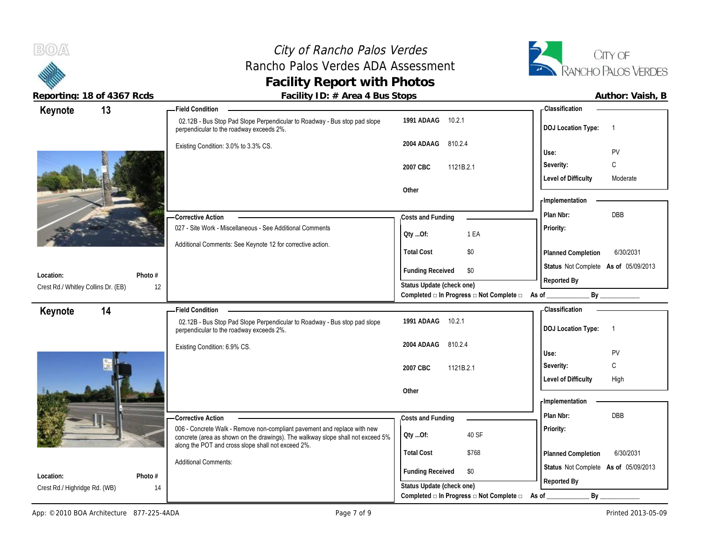# City of Rancho Palos Verdes Rancho Palos Verdes ADA Assessment **Facility Report with Photos**



Reporting: 18 of 4367 Rcds **Facility ID: # Area 4 Bus Stops Facility ID: # Area 4 Bus Stops Author: Vaish, B** 

| Keynote                                    | 13            | <b>Field Condition</b>                                                                                                                                                                                            |                                                               | - Classification                            |
|--------------------------------------------|---------------|-------------------------------------------------------------------------------------------------------------------------------------------------------------------------------------------------------------------|---------------------------------------------------------------|---------------------------------------------|
|                                            |               | 02.12B - Bus Stop Pad Slope Perpendicular to Roadway - Bus stop pad slope<br>perpendicular to the roadway exceeds 2%.                                                                                             | 10.2.1<br>1991 ADAAG                                          | <b>DOJ Location Type:</b><br>$\overline{1}$ |
|                                            |               | Existing Condition: 3.0% to 3.3% CS.                                                                                                                                                                              | 810.2.4<br>2004 ADAAG                                         | PV<br>Use:                                  |
|                                            |               |                                                                                                                                                                                                                   |                                                               | С<br>Severity:                              |
|                                            |               |                                                                                                                                                                                                                   | 1121B.2.1<br>2007 CBC                                         | <b>Level of Difficulty</b><br>Moderate      |
|                                            |               |                                                                                                                                                                                                                   | Other                                                         |                                             |
|                                            |               |                                                                                                                                                                                                                   |                                                               | - Implementation                            |
|                                            |               | - Corrective Action                                                                                                                                                                                               | Costs and Funding                                             | Plan Nbr:<br>DBB                            |
|                                            |               | 027 - Site Work - Miscellaneous - See Additional Comments                                                                                                                                                         |                                                               | Priority:                                   |
|                                            |               | Additional Comments: See Keynote 12 for corrective action.                                                                                                                                                        | 1 EA<br>QtyOf:                                                |                                             |
|                                            |               |                                                                                                                                                                                                                   | <b>Total Cost</b><br>\$0                                      | Planned Completion<br>6/30/2031             |
|                                            |               |                                                                                                                                                                                                                   | <b>Funding Received</b><br>\$0                                | Status Not Complete As of 05/09/2013        |
| Location:                                  | Photo $#$     |                                                                                                                                                                                                                   | Status Update (check one)                                     | Reported By                                 |
| Crest Rd./ Whitley Collins Dr. (EB)        | 12            |                                                                                                                                                                                                                   | Completed $\Box$ In Progress $\Box$ Not Complete $\Box$ As of | By                                          |
| Keynote                                    | 14            | <b>Field Condition</b>                                                                                                                                                                                            |                                                               | - Classification                            |
|                                            |               | 02.12B - Bus Stop Pad Slope Perpendicular to Roadway - Bus stop pad slope                                                                                                                                         | 1991 ADAAG<br>10.2.1                                          |                                             |
|                                            |               | perpendicular to the roadway exceeds 2%.                                                                                                                                                                          |                                                               | <b>DOJ Location Type:</b><br>$\overline{1}$ |
|                                            |               | Existing Condition: 6.9% CS.                                                                                                                                                                                      | 810.2.4<br>2004 ADAAG                                         |                                             |
|                                            |               |                                                                                                                                                                                                                   |                                                               | PV<br>Use:                                  |
|                                            |               |                                                                                                                                                                                                                   | 2007 CBC<br>1121B.2.1                                         | C<br>Severity:                              |
|                                            |               |                                                                                                                                                                                                                   |                                                               | <b>Level of Difficulty</b><br>High          |
|                                            |               |                                                                                                                                                                                                                   | Other                                                         | - Implementation                            |
|                                            |               |                                                                                                                                                                                                                   |                                                               | DBB<br>Plan Nbr:                            |
|                                            |               | - Corrective Action                                                                                                                                                                                               | Costs and Funding                                             |                                             |
|                                            |               | 006 - Concrete Walk - Remove non-compliant pavement and replace with new<br>concrete (area as shown on the drawings). The walkway slope shall not exceed 5%<br>along the POT and cross slope shall not exceed 2%. | 40 SF<br>Qty Of:                                              | Priority:                                   |
|                                            |               |                                                                                                                                                                                                                   | <b>Total Cost</b><br>\$768                                    | 6/30/2031<br>Planned Completion             |
|                                            |               | <b>Additional Comments:</b>                                                                                                                                                                                       | <b>Funding Received</b><br>\$0                                | Status Not Complete As of 05/09/2013        |
| Location:<br>Crest Rd./ Highridge Rd. (WB) | Photo #<br>14 |                                                                                                                                                                                                                   | Status Update (check one)                                     | Reported By                                 |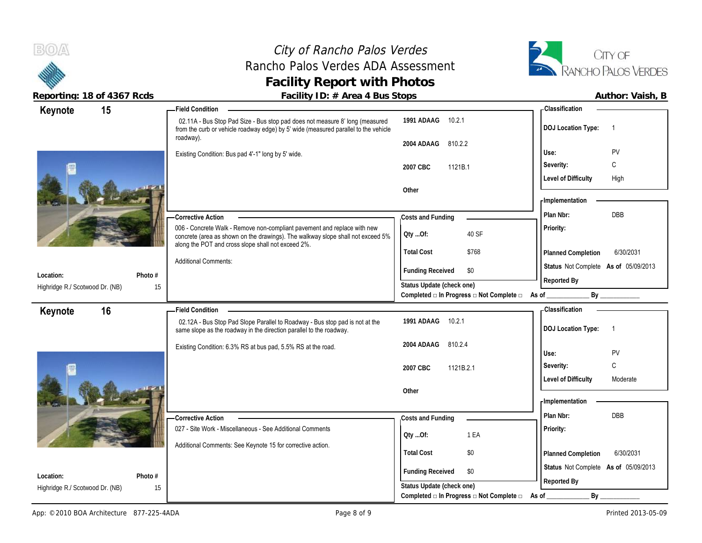# City of Rancho Palos Verdes Rancho Palos Verdes ADA Assessment **Facility Report with Photos**



| 15<br>Keynote                         | <b>Field Condition</b>                                                                                                                                                                                            |                                                         | <b>Classification</b>                       |
|---------------------------------------|-------------------------------------------------------------------------------------------------------------------------------------------------------------------------------------------------------------------|---------------------------------------------------------|---------------------------------------------|
|                                       | 02.11A - Bus Stop Pad Size - Bus stop pad does not measure 8' long (measured<br>from the curb or vehicle roadway edge) by 5' wide (measured parallel to the vehicle<br>roadway).                                  | 1991 ADAAG<br>10.2.1                                    | <b>DOJ Location Type:</b><br>$\overline{1}$ |
|                                       |                                                                                                                                                                                                                   | 2004 ADAAG<br>810.2.2                                   |                                             |
|                                       | Existing Condition: Bus pad 4'-1" long by 5' wide.                                                                                                                                                                |                                                         | PV<br>Use:                                  |
|                                       |                                                                                                                                                                                                                   | 2007 CBC<br>1121B.1                                     | C<br>Severity:                              |
|                                       |                                                                                                                                                                                                                   |                                                         | <b>Level of Difficulty</b><br>High          |
|                                       |                                                                                                                                                                                                                   | Other                                                   |                                             |
|                                       |                                                                                                                                                                                                                   |                                                         | - Implementation                            |
|                                       | - Corrective Action                                                                                                                                                                                               | Costs and Funding                                       | DBB<br>Plan Nbr:                            |
|                                       | 006 - Concrete Walk - Remove non-compliant pavement and replace with new<br>concrete (area as shown on the drawings). The walkway slope shall not exceed 5%<br>along the POT and cross slope shall not exceed 2%. | QtyOf:<br>40 SF                                         | Priority:                                   |
|                                       |                                                                                                                                                                                                                   | <b>Total Cost</b><br>\$768                              | 6/30/2031<br>Planned Completion             |
| Photo #<br>Location:                  | <b>Additional Comments:</b>                                                                                                                                                                                       | <b>Funding Received</b><br>\$0                          | Status Not Complete As of 05/09/2013        |
| Highridge R./ Scotwood Dr. (NB)<br>15 |                                                                                                                                                                                                                   | Status Update (check one)                               | Reported By                                 |
|                                       |                                                                                                                                                                                                                   | Completed □ In Progress □ Not Complete □                | As of                                       |
| 16<br>Keynote                         | <b>Field Condition</b>                                                                                                                                                                                            |                                                         | <b>Classification</b>                       |
|                                       | 02.12A - Bus Stop Pad Slope Parallel to Roadway - Bus stop pad is not at the<br>same slope as the roadway in the direction parallel to the roadway.                                                               | 1991 ADAAG<br>10.2.1                                    | <b>DOJ Location Type:</b><br>$\overline{1}$ |
|                                       | Existing Condition: 6.3% RS at bus pad, 5.5% RS at the road.                                                                                                                                                      | 2004 ADAAG<br>810.2.4                                   | PV<br>Use:                                  |
|                                       |                                                                                                                                                                                                                   | 2007 CBC<br>1121B.2.1                                   | C<br>Severity:                              |
|                                       |                                                                                                                                                                                                                   |                                                         | <b>Level of Difficulty</b><br>Moderate      |
|                                       |                                                                                                                                                                                                                   | Other                                                   |                                             |
|                                       |                                                                                                                                                                                                                   |                                                         | - Implementation                            |
|                                       | - Corrective Action                                                                                                                                                                                               | Costs and Funding                                       | Plan Nbr:<br>DBB                            |
|                                       | 027 - Site Work - Miscellaneous - See Additional Comments                                                                                                                                                         |                                                         | Priority:                                   |
|                                       |                                                                                                                                                                                                                   | 1 EA<br>QtyOf:                                          |                                             |
|                                       | Additional Comments: See Keynote 15 for corrective action.                                                                                                                                                        | <b>Total Cost</b><br>\$0                                | 6/30/2031<br>Planned Completion             |
| Location:<br>Photo #                  |                                                                                                                                                                                                                   | <b>Funding Received</b><br>\$0                          | Status Not Complete As of 05/09/2013        |
| Highridge R./ Scotwood Dr. (NB)<br>15 |                                                                                                                                                                                                                   | Status Update (check one)                               | Reported By                                 |
|                                       |                                                                                                                                                                                                                   | Completed $\Box$ In Progress $\Box$ Not Complete $\Box$ | By<br>As of                                 |